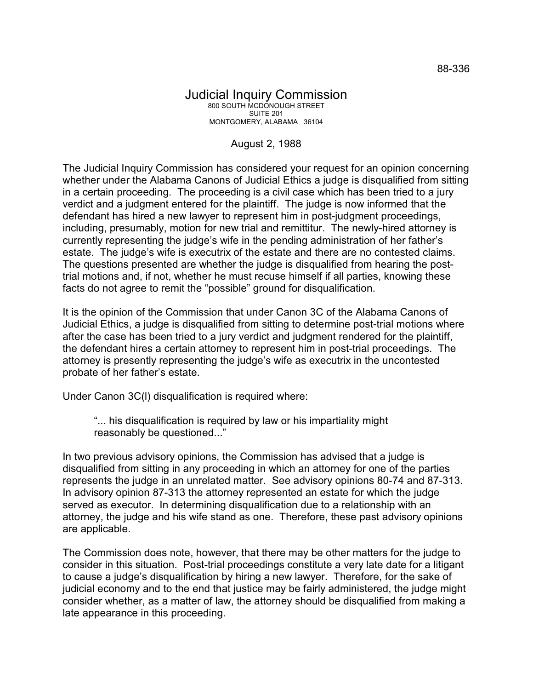## Judicial Inquiry Commission 800 SOUTH MCDONOUGH STREET SUITE 201 MONTGOMERY, ALABAMA 36104

## August 2, 1988

The Judicial Inquiry Commission has considered your request for an opinion concerning whether under the Alabama Canons of Judicial Ethics a judge is disqualified from sitting in a certain proceeding. The proceeding is a civil case which has been tried to a jury verdict and a judgment entered for the plaintiff. The judge is now informed that the defendant has hired a new lawyer to represent him in post-judgment proceedings, including, presumably, motion for new trial and remittitur. The newly-hired attorney is currently representing the judge's wife in the pending administration of her father's estate. The judge's wife is executrix of the estate and there are no contested claims. The questions presented are whether the judge is disqualified from hearing the posttrial motions and, if not, whether he must recuse himself if all parties, knowing these facts do not agree to remit the "possible" ground for disqualification.

It is the opinion of the Commission that under Canon 3C of the Alabama Canons of Judicial Ethics, a judge is disqualified from sitting to determine post-trial motions where after the case has been tried to a jury verdict and judgment rendered for the plaintiff, the defendant hires a certain attorney to represent him in post-trial proceedings. The attorney is presently representing the judge's wife as executrix in the uncontested probate of her father's estate.

Under Canon 3C(l) disqualification is required where:

"... his disqualification is required by law or his impartiality might reasonably be questioned..."

In two previous advisory opinions, the Commission has advised that a judge is disqualified from sitting in any proceeding in which an attorney for one of the parties represents the judge in an unrelated matter. See advisory opinions 80-74 and 87-313. In advisory opinion 87-313 the attorney represented an estate for which the judge served as executor. In determining disqualification due to a relationship with an attorney, the judge and his wife stand as one. Therefore, these past advisory opinions are applicable.

The Commission does note, however, that there may be other matters for the judge to consider in this situation. Post-trial proceedings constitute a very late date for a litigant to cause a judge's disqualification by hiring a new lawyer. Therefore, for the sake of judicial economy and to the end that justice may be fairly administered, the judge might consider whether, as a matter of law, the attorney should be disqualified from making a late appearance in this proceeding.